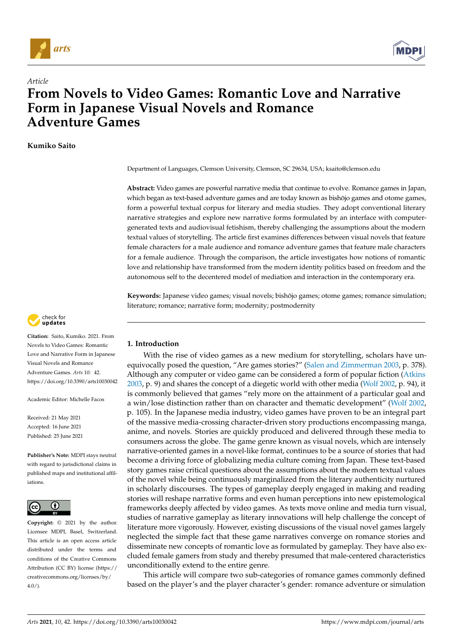

*Article*



# **From Novels to Video Games: Romantic Love and Narrative Form in Japanese Visual Novels and Romance Adventure Games**

**Kumiko Saito**

Department of Languages, Clemson University, Clemson, SC 29634, USA; ksaito@clemson.edu

**Abstract:** Video games are powerful narrative media that continue to evolve. Romance games in Japan, which began as text-based adventure games and are today known as bishōjo games and otome games, form a powerful textual corpus for literary and media studies. They adopt conventional literary narrative strategies and explore new narrative forms formulated by an interface with computergenerated texts and audiovisual fetishism, thereby challenging the assumptions about the modern textual values of storytelling. The article first examines differences between visual novels that feature female characters for a male audience and romance adventure games that feature male characters for a female audience. Through the comparison, the article investigates how notions of romantic love and relationship have transformed from the modern identity politics based on freedom and the autonomous self to the decentered model of mediation and interaction in the contemporary era.

**Keywords:** Japanese video games; visual novels; bishojo games; otome games; romance simulation; ¯ literature; romance; narrative form; modernity; postmodernity



**Citation:** Saito, Kumiko. 2021. From Novels to Video Games: Romantic Love and Narrative Form in Japanese Visual Novels and Romance Adventure Games. *Arts* 10: 42. <https://doi.org/10.3390/arts10030042>

Academic Editor: Michelle Facos

Received: 21 May 2021 Accepted: 16 June 2021 Published: 25 June 2021

**Publisher's Note:** MDPI stays neutral with regard to jurisdictional claims in published maps and institutional affiliations.



**Copyright:** © 2021 by the author. Licensee MDPI, Basel, Switzerland. This article is an open access article distributed under the terms and conditions of the Creative Commons Attribution (CC BY) license (https:/[/](https://creativecommons.org/licenses/by/4.0/) [creativecommons.org/licenses/by/](https://creativecommons.org/licenses/by/4.0/)  $4.0/$ ).

### **1. Introduction**

With the rise of video games as a new medium for storytelling, scholars have unequivocally posed the question, "Are games stories?" [\(Salen and Zimmerman](#page-17-0) [2003,](#page-17-0) p. 378). Although any computer or video game can be considered a form of popular fiction [\(Atkins](#page-16-0) [2003,](#page-16-0) p. 9) and shares the concept of a diegetic world with other media [\(Wolf](#page-17-1) [2002,](#page-17-1) p. 94), it is commonly believed that games "rely more on the attainment of a particular goal and a win/lose distinction rather than on character and thematic development" [\(Wolf](#page-17-1) [2002,](#page-17-1) p. 105). In the Japanese media industry, video games have proven to be an integral part of the massive media-crossing character-driven story productions encompassing manga, anime, and novels. Stories are quickly produced and delivered through these media to consumers across the globe. The game genre known as visual novels, which are intensely narrative-oriented games in a novel-like format, continues to be a source of stories that had become a driving force of globalizing media culture coming from Japan. These text-based story games raise critical questions about the assumptions about the modern textual values of the novel while being continuously marginalized from the literary authenticity nurtured in scholarly discourses. The types of gameplay deeply engaged in making and reading stories will reshape narrative forms and even human perceptions into new epistemological frameworks deeply affected by video games. As texts move online and media turn visual, studies of narrative gameplay as literary innovations will help challenge the concept of literature more vigorously. However, existing discussions of the visual novel games largely neglected the simple fact that these game narratives converge on romance stories and disseminate new concepts of romantic love as formulated by gameplay. They have also excluded female gamers from study and thereby presumed that male-centered characteristics unconditionally extend to the entire genre.

This article will compare two sub-categories of romance games commonly defined based on the player's and the player character's gender: romance adventure or simulation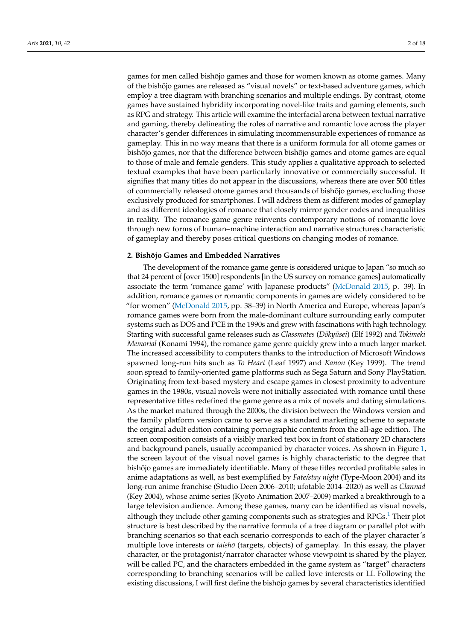games for men called bishojo games and those for women known as otome games. Many ¯ of the bishojo games are released as "visual novels" or text-based adventure games, which ¯ employ a tree diagram with branching scenarios and multiple endings. By contrast, otome games have sustained hybridity incorporating novel-like traits and gaming elements, such as RPG and strategy. This article will examine the interfacial arena between textual narrative and gaming, thereby delineating the roles of narrative and romantic love across the player character's gender differences in simulating incommensurable experiences of romance as gameplay. This in no way means that there is a uniform formula for all otome games or bishōjo games, nor that the difference between bishōjo games and otome games are equal to those of male and female genders. This study applies a qualitative approach to selected textual examples that have been particularly innovative or commercially successful. It signifies that many titles do not appear in the discussions, whereas there are over 500 titles of commercially released otome games and thousands of bishōjo games, excluding those exclusively produced for smartphones. I will address them as different modes of gameplay and as different ideologies of romance that closely mirror gender codes and inequalities in reality. The romance game genre reinvents contemporary notions of romantic love through new forms of human–machine interaction and narrative structures characteristic of gameplay and thereby poses critical questions on changing modes of romance.

#### **2. Bishōjo Games and Embedded Narratives**

<span id="page-1-0"></span>The development of the romance game genre is considered unique to Japan "so much so that 24 percent of [over 1500] respondents [in the US survey on romance games] automatically associate the term 'romance game' with Japanese products" [\(McDonald](#page-17-2) [2015,](#page-17-2) p. 39). In addition, romance games or romantic components in games are widely considered to be "for women" [\(McDonald](#page-17-2) [2015,](#page-17-2) pp. 38–39) in North America and Europe, whereas Japan's romance games were born from the male-dominant culture surrounding early computer systems such as DOS and PCE in the 1990s and grew with fascinations with high technology. Starting with successful game releases such as *Classmates* (*Doky ¯ usei ¯* ) (Elf 1992) and *Tokimeki Memorial* (Konami 1994), the romance game genre quickly grew into a much larger market. The increased accessibility to computers thanks to the introduction of Microsoft Windows spawned long-run hits such as *To Heart* (Leaf 1997) and *Kanon* (Key 1999). The trend soon spread to family-oriented game platforms such as Sega Saturn and Sony PlayStation. Originating from text-based mystery and escape games in closest proximity to adventure games in the 1980s, visual novels were not initially associated with romance until these representative titles redefined the game genre as a mix of novels and dating simulations. As the market matured through the 2000s, the division between the Windows version and the family platform version came to serve as a standard marketing scheme to separate the original adult edition containing pornographic contents from the all-age edition. The screen composition consists of a visibly marked text box in front of stationary 2D characters and background panels, usually accompanied by character voices. As shown in Figure [1,](#page-2-0) the screen layout of the visual novel games is highly characteristic to the degree that bishōjo games are immediately identifiable. Many of these titles recorded profitable sales in anime adaptations as well, as best exemplified by *Fate/stay night* (Type-Moon 2004) and its long-run anime franchise (Studio Deen 2006–2010; ufotable 2014–2020) as well as *Clannad* (Key 2004), whose anime series (Kyoto Animation 2007–2009) marked a breakthrough to a large television audience. Among these games, many can be identified as visual novels, although they include other gaming components such as strategies and  $RPGs<sup>1</sup>$  $RPGs<sup>1</sup>$  $RPGs<sup>1</sup>$ . Their plot structure is best described by the narrative formula of a tree diagram or parallel plot with branching scenarios so that each scenario corresponds to each of the player character's multiple love interests or *taisho* (targets, objects) of gameplay. In this essay, the player character, or the protagonist/narrator character whose viewpoint is shared by the player, will be called PC, and the characters embedded in the game system as "target" characters corresponding to branching scenarios will be called love interests or LI. Following the existing discussions, I will first define the bishojo games by several characteristics identified ¯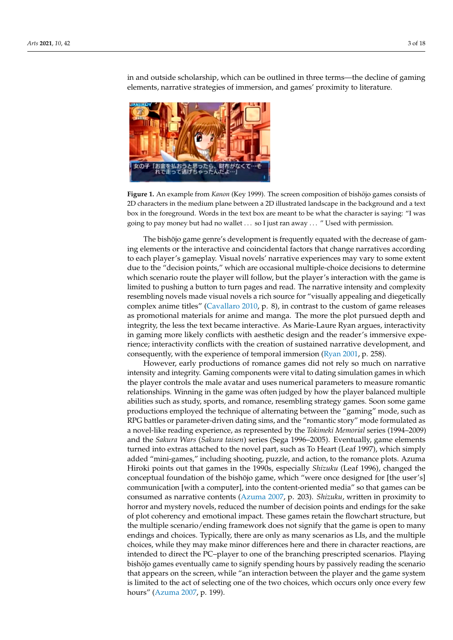<span id="page-2-0"></span>

in and outside scholarship, which can be outlined in three terms—the decline of gaming elements, narrative strategies of immersion, and games' proximity to literature.

**Figure 1.** An example from *Kanon* (Key 1999). The screen composition of bishōjo games consists of **Figure 1.** An example from *Kanon* (Key 1999). The screen composition of bishojo games consists of ¯ 2D characters in the medium plane between a 2D illustrated landscape in the background and a text 2D characters in the medium plane between a 2D illustrated landscape in the background and a text box in the foreground. Words in the text box are meant to be what the character is saying: "I was box in the foreground. Words in the text box are meant to be what the character is saying: "I was going to pay money but had no wallet… so I just ran away…" Used with permission. going to pay money but had no wallet . . . so I just ran away . . . " Used with permission.

The bishōjo game genre's development is frequently equated with the decrease of The bishojo game genre's development is frequently equated with the decrease of gam- ¯ ing elements or the interactive and coincidental factors that change narratives according to each player's gameplay. Visual novels' narrative experiences may vary to some extent due to the "decision points," which are occasional multiple-choice decisions to determine which scenario route the player will follow, but the player's interaction with the game is limited to pushing a button to turn pages and read. The narrative intensity and complexity resembling novels made visual novels a rich source for "visually appealing and diegetically complex anime titles" [\(Cavallaro](#page-16-1) [2010,](#page-16-1) p. 8), in contrast to the custom of game releases as promotional materials for anime and manga. The more the plot pursued depth and integrity, the less the text became interactive. As Marie-Laure Ryan argues, interactivity in gaming more likely conflicts with aesthetic design and the reader's immersive experience; interactivity conflicts with the creation of sustained narrative development, and consequently, with the experience of temporal [immersion](#page-17-3) (Ryan 2001, p. 258).

However, early productions of romance games did not rely so much on narrative However, early productions of romance games did not rely so much on narrative intensity and integrity. Gaming components were vital to dating simulation games in intensity and integrity. Gaming components were vital to dating simulation games in which the player controls the male avatar and uses numerical parameters to measure romantic relationships. Winning in the game was often judged by how the player balanced multiple abilities such as study, sports, and romance, resembling strategy games. Soon some game productions employed the technique of alternating between the "gaming" mode, such as RPG battles or parameter-driven dating sims, and the "romantic story" mode formulated as mode formulated as a novel-like reading experience, as represented by the *Tokimeki Me-*a novel-like reading experience, as represented by the *Tokimeki Memorial* series (1994–2009) *morial* series (1994–2009) and the *Sakura Wars* (*Sakura taisen*) series (Sega 1996–2005). Even-and the *Sakura Wars* (*Sakura taisen*) series (Sega 1996–2005). Eventually, game elements turned into extras attached to the novel part, such as To Heart (Leaf 1997), which simply added "mini-games," including shooting, puzzle, and action, to the romance plots. Azuma Hiroki points out that games in the 1990s, especially *Shizuku* (Leaf 1996), changed the conceptual foundation of the bishōjo game, which "were once designed for [the user's] communication [with a computer], into the content-oriented media" so that games can be consumed as narrative contents [\(Azuma](#page-16-2) [2007,](#page-16-2) p. 203). *Shizuku*, written in proximity to horror and mystery novels, reduced the number of decision points and endings for the sake of plot coherency and emotional impact. These games retain the flowchart structure, but the multiple scenario/ending framework does not signify that the game is open to many endings and choices. Typically, there are only as many scenarios as LIs, and the multiple choices, while they may make minor differences here and there in character reactions, are intended to direct the PC–player to one of the branching prescripted scenarios. Playing bishōjo games eventually came to signify spending hours by passively reading the scenario that appears on the screen, while "an interaction between the player and the game system is limited to the act of selecting one of the two choices, which occurs only once every few hours" [\(Azuma](#page-16-2) [2007,](#page-16-2) p. 199).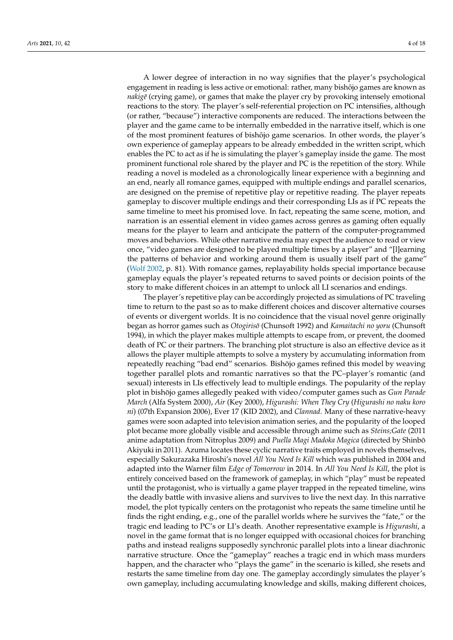A lower degree of interaction in no way signifies that the player's psychological engagement in reading is less active or emotional: rather, many bishōjo games are known as *nakigē* (crying game), or games that make the player cry by provoking intensely emotional reactions to the story. The player's self-referential projection on PC intensifies, although (or rather, "because") interactive components are reduced. The interactions between the player and the game came to be internally embedded in the narrative itself, which is one of the most prominent features of bishōjo game scenarios. In other words, the player's own experience of gameplay appears to be already embedded in the written script, which enables the PC to act as if he is simulating the player's gameplay inside the game. The most prominent functional role shared by the player and PC is the repetition of the story. While reading a novel is modeled as a chronologically linear experience with a beginning and an end, nearly all romance games, equipped with multiple endings and parallel scenarios, are designed on the premise of repetitive play or repetitive reading. The player repeats gameplay to discover multiple endings and their corresponding LIs as if PC repeats the same timeline to meet his promised love. In fact, repeating the same scene, motion, and narration is an essential element in video games across genres as gaming often equally means for the player to learn and anticipate the pattern of the computer-programmed moves and behaviors. While other narrative media may expect the audience to read or view once, "video games are designed to be played multiple times by a player" and "[l]earning the patterns of behavior and working around them is usually itself part of the game" [\(Wolf](#page-17-1) [2002,](#page-17-1) p. 81). With romance games, replayability holds special importance because gameplay equals the player's repeated returns to saved points or decision points of the story to make different choices in an attempt to unlock all LI scenarios and endings.

The player's repetitive play can be accordingly projected as simulations of PC traveling time to return to the past so as to make different choices and discover alternative courses of events or divergent worlds. It is no coincidence that the visual novel genre originally began as horror games such as *Otogiriso¯* (Chunsoft 1992) and *Kamaitachi no yoru* (Chunsoft 1994), in which the player makes multiple attempts to escape from, or prevent, the doomed death of PC or their partners. The branching plot structure is also an effective device as it allows the player multiple attempts to solve a mystery by accumulating information from repeatedly reaching "bad end" scenarios. Bishōjo games refined this model by weaving together parallel plots and romantic narratives so that the PC–player's romantic (and sexual) interests in LIs effectively lead to multiple endings. The popularity of the replay plot in bishōjo games allegedly peaked with video/computer games such as *Gun Parade March* (Alfa System 2000), *Air* (Key 2000), *Higurashi: When They Cry* (*Higurashi no naku koro ni*) (07th Expansion 2006), Ever 17 (KID 2002), and *Clannad*. Many of these narrative-heavy games were soon adapted into television animation series, and the popularity of the looped plot became more globally visible and accessible through anime such as *Steins;Gate* (2011 anime adaptation from Nitroplus 2009) and *Puella Magi Madoka Magica* (directed by Shinbo¯ Akiyuki in 2011). Azuma locates these cyclic narrative traits employed in novels themselves, especially Sakurazaka Hiroshi's novel *All You Need Is Kill* which was published in 2004 and adapted into the Warner film *Edge of Tomorrow* in 2014. In *All You Need Is Kill*, the plot is entirely conceived based on the framework of gameplay, in which "play" must be repeated until the protagonist, who is virtually a game player trapped in the repeated timeline, wins the deadly battle with invasive aliens and survives to live the next day. In this narrative model, the plot typically centers on the protagonist who repeats the same timeline until he finds the right ending, e.g., one of the parallel worlds where he survives the "fate," or the tragic end leading to PC's or LI's death. Another representative example is *Higurashi*, a novel in the game format that is no longer equipped with occasional choices for branching paths and instead realigns supposedly synchronic parallel plots into a linear diachronic narrative structure. Once the "gameplay" reaches a tragic end in which mass murders happen, and the character who "plays the game" in the scenario is killed, she resets and restarts the same timeline from day one. The gameplay accordingly simulates the player's own gameplay, including accumulating knowledge and skills, making different choices,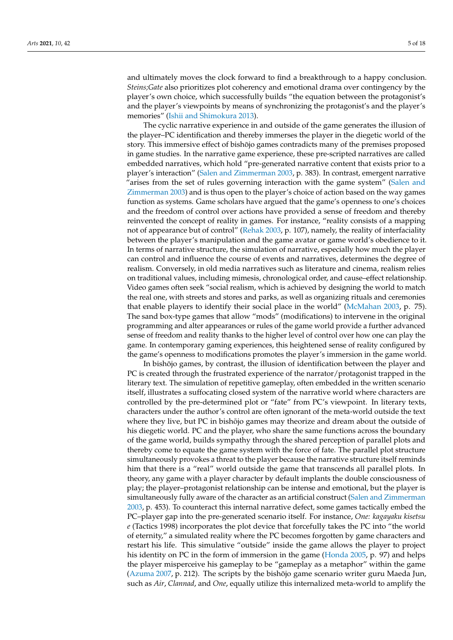and ultimately moves the clock forward to find a breakthrough to a happy conclusion. *Steins;Gate* also prioritizes plot coherency and emotional drama over contingency by the player's own choice, which successfully builds "the equation between the protagonist's and the player's viewpoints by means of synchronizing the protagonist's and the player's memories" [\(Ishii and Shimokura](#page-17-4) [2013\)](#page-17-4).

The cyclic narrative experience in and outside of the game generates the illusion of the player–PC identification and thereby immerses the player in the diegetic world of the story. This immersive effect of bishojo games contradicts many of the premises proposed ¯ in game studies. In the narrative game experience, these pre-scripted narratives are called embedded narratives, which hold "pre-generated narrative content that exists prior to a player's interaction" [\(Salen and Zimmerman](#page-17-0) [2003,](#page-17-0) p. 383). In contrast, emergent narrative "arises from the set of rules governing interaction with the game system" [\(Salen and](#page-17-0) [Zimmerman](#page-17-0) [2003\)](#page-17-0) and is thus open to the player's choice of action based on the way games function as systems. Game scholars have argued that the game's openness to one's choices and the freedom of control over actions have provided a sense of freedom and thereby reinvented the concept of reality in games. For instance, "reality consists of a mapping not of appearance but of control" [\(Rehak](#page-17-5) [2003,](#page-17-5) p. 107), namely, the reality of interfaciality between the player's manipulation and the game avatar or game world's obedience to it. In terms of narrative structure, the simulation of narrative, especially how much the player can control and influence the course of events and narratives, determines the degree of realism. Conversely, in old media narratives such as literature and cinema, realism relies on traditional values, including mimesis, chronological order, and cause–effect relationship. Video games often seek "social realism, which is achieved by designing the world to match the real one, with streets and stores and parks, as well as organizing rituals and ceremonies that enable players to identify their social place in the world" [\(McMahan](#page-17-6) [2003,](#page-17-6) p. 75). The sand box-type games that allow "mods" (modifications) to intervene in the original programming and alter appearances or rules of the game world provide a further advanced sense of freedom and reality thanks to the higher level of control over how one can play the game. In contemporary gaming experiences, this heightened sense of reality configured by the game's openness to modifications promotes the player's immersion in the game world.

In bishojo games, by contrast, the illusion of identification between the player and ¯ PC is created through the frustrated experience of the narrator/protagonist trapped in the literary text. The simulation of repetitive gameplay, often embedded in the written scenario itself, illustrates a suffocating closed system of the narrative world where characters are controlled by the pre-determined plot or "fate" from PC's viewpoint. In literary texts, characters under the author's control are often ignorant of the meta-world outside the text where they live, but PC in bishojo games may theorize and dream about the outside of his diegetic world. PC and the player, who share the same functions across the boundary of the game world, builds sympathy through the shared perception of parallel plots and thereby come to equate the game system with the force of fate. The parallel plot structure simultaneously provokes a threat to the player because the narrative structure itself reminds him that there is a "real" world outside the game that transcends all parallel plots. In theory, any game with a player character by default implants the double consciousness of play; the player–protagonist relationship can be intense and emotional, but the player is simultaneously fully aware of the character as an artificial construct [\(Salen and Zimmerman](#page-17-0) [2003,](#page-17-0) p. 453). To counteract this internal narrative defect, some games tactically embed the PC–player gap into the pre-generated scenario itself. For instance, *One: kagayaku kisetsu e* (Tactics 1998) incorporates the plot device that forcefully takes the PC into "the world of eternity," a simulated reality where the PC becomes forgotten by game characters and restart his life. This simulative "outside" inside the game allows the player to project his identity on PC in the form of immersion in the game [\(Honda](#page-16-3) [2005,](#page-16-3) p. 97) and helps the player misperceive his gameplay to be "gameplay as a metaphor" within the game [\(Azuma](#page-16-2) [2007,](#page-16-2) p. 212). The scripts by the bishojo game scenario writer guru Maeda Jun, such as *Air*, *Clannad*, and *One*, equally utilize this internalized meta-world to amplify the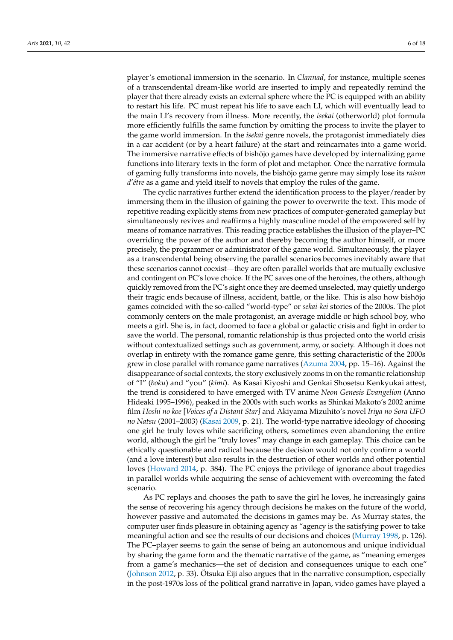player's emotional immersion in the scenario. In *Clannad*, for instance, multiple scenes of a transcendental dream-like world are inserted to imply and repeatedly remind the player that there already exists an external sphere where the PC is equipped with an ability to restart his life. PC must repeat his life to save each LI, which will eventually lead to the main LI's recovery from illness. More recently, the *isekai* (otherworld) plot formula more efficiently fulfills the same function by omitting the process to invite the player to the game world immersion. In the *isekai* genre novels, the protagonist immediately dies in a car accident (or by a heart failure) at the start and reincarnates into a game world. The immersive narrative effects of bishōjo games have developed by internalizing game functions into literary texts in the form of plot and metaphor. Once the narrative formula of gaming fully transforms into novels, the bishōjo game genre may simply lose its *raison d'être* as a game and yield itself to novels that employ the rules of the game.

The cyclic narratives further extend the identification process to the player/reader by immersing them in the illusion of gaining the power to overwrite the text. This mode of repetitive reading explicitly stems from new practices of computer-generated gameplay but simultaneously revives and reaffirms a highly masculine model of the empowered self by means of romance narratives. This reading practice establishes the illusion of the player–PC overriding the power of the author and thereby becoming the author himself, or more precisely, the programmer or administrator of the game world. Simultaneously, the player as a transcendental being observing the parallel scenarios becomes inevitably aware that these scenarios cannot coexist—they are often parallel worlds that are mutually exclusive and contingent on PC's love choice. If the PC saves one of the heroines, the others, although quickly removed from the PC's sight once they are deemed unselected, may quietly undergo their tragic ends because of illness, accident, battle, or the like. This is also how bishojo games coincided with the so-called "world-type" or *sekai-kei* stories of the 2000s. The plot commonly centers on the male protagonist, an average middle or high school boy, who meets a girl. She is, in fact, doomed to face a global or galactic crisis and fight in order to save the world. The personal, romantic relationship is thus projected onto the world crisis without contextualized settings such as government, army, or society. Although it does not overlap in entirety with the romance game genre, this setting characteristic of the 2000s grew in close parallel with romance game narratives [\(Azuma](#page-16-4) [2004,](#page-16-4) pp. 15–16). Against the disappearance of social contexts, the story exclusively zooms in on the romantic relationship of "I" (*boku*) and "you" (*kimi*). As Kasai Kiyoshi and Genkai Shosetsu Kenkyukai attest, the trend is considered to have emerged with TV anime *Neon Genesis Evangelion* (Anno Hideaki 1995–1996), peaked in the 2000s with such works as Shinkai Makoto's 2002 anime film *Hoshi no koe* [*Voices of a Distant Star]* and Akiyama Mizuhito's novel *Iriya no Sora UFO no Natsu* (2001–2003) [\(Kasai](#page-17-7) [2009,](#page-17-7) p. 21). The world-type narrative ideology of choosing one girl he truly loves while sacrificing others, sometimes even abandoning the entire world, although the girl he "truly loves" may change in each gameplay. This choice can be ethically questionable and radical because the decision would not only confirm a world (and a love interest) but also results in the destruction of other worlds and other potential loves [\(Howard](#page-16-5) [2014,](#page-16-5) p. 384). The PC enjoys the privilege of ignorance about tragedies in parallel worlds while acquiring the sense of achievement with overcoming the fated scenario.

As PC replays and chooses the path to save the girl he loves, he increasingly gains the sense of recovering his agency through decisions he makes on the future of the world, however passive and automated the decisions in games may be. As Murray states, the computer user finds pleasure in obtaining agency as "agency is the satisfying power to take meaningful action and see the results of our decisions and choices [\(Murray](#page-17-8) [1998,](#page-17-8) p. 126). The PC–player seems to gain the sense of being an autonomous and unique individual by sharing the game form and the thematic narrative of the game, as "meaning emerges from a game's mechanics—the set of decision and consequences unique to each one" [\(Johnson](#page-17-9) [2012,](#page-17-9) p. 33). Ötsuka Eiji also argues that in the narrative consumption, especially in the post-1970s loss of the political grand narrative in Japan, video games have played a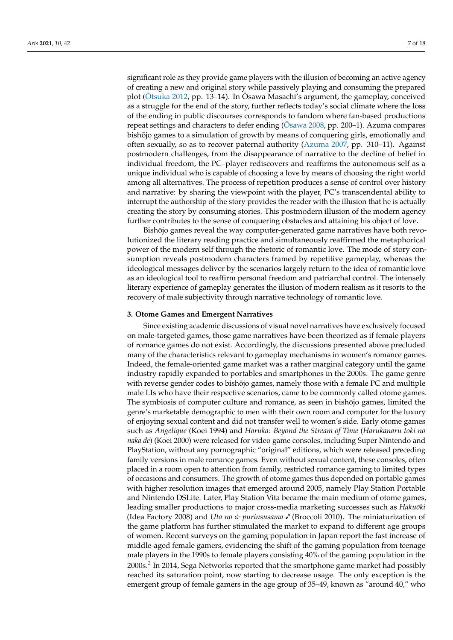significant role as they provide game players with the illusion of becoming an active agency of creating a new and original story while passively playing and consuming the prepared plot ( $\overline{O}$ tsuka [2012,](#page-17-10) pp. 13–14). In  $\overline{O}$ sawa Masachi's argument, the gameplay, conceived as a struggle for the end of the story, further reflects today's social climate where the loss of the ending in public discourses corresponds to fandom where fan-based productions repeat settings and characters to defer ending ( $\bar{O}$ sawa [2008,](#page-17-11) pp. 200–1). Azuma compares bishōjo games to a simulation of growth by means of conquering girls, emotionally and often sexually, so as to recover paternal authority [\(Azuma](#page-16-2) [2007,](#page-16-2) pp. 310–11). Against postmodern challenges, from the disappearance of narrative to the decline of belief in individual freedom, the PC–player rediscovers and reaffirms the autonomous self as a unique individual who is capable of choosing a love by means of choosing the right world among all alternatives. The process of repetition produces a sense of control over history and narrative: by sharing the viewpoint with the player, PC's transcendental ability to interrupt the authorship of the story provides the reader with the illusion that he is actually creating the story by consuming stories. This postmodern illusion of the modern agency further contributes to the sense of conquering obstacles and attaining his object of love.

Bishōjo games reveal the way computer-generated game narratives have both revolutionized the literary reading practice and simultaneously reaffirmed the metaphorical power of the modern self through the rhetoric of romantic love. The mode of story consumption reveals postmodern characters framed by repetitive gameplay, whereas the ideological messages deliver by the scenarios largely return to the idea of romantic love as an ideological tool to reaffirm personal freedom and patriarchal control. The intensely literary experience of gameplay generates the illusion of modern realism as it resorts to the recovery of male subjectivity through narrative technology of romantic love.

#### <span id="page-6-0"></span>**3. Otome Games and Emergent Narratives**

Since existing academic discussions of visual novel narratives have exclusively focused on male-targeted games, those game narratives have been theorized as if female players of romance games do not exist. Accordingly, the discussions presented above precluded many of the characteristics relevant to gameplay mechanisms in women's romance games. Indeed, the female-oriented game market was a rather marginal category until the game industry rapidly expanded to portables and smartphones in the 2000s. The game genre with reverse gender codes to bishojo games, namely those with a female PC and multiple male LIs who have their respective scenarios, came to be commonly called otome games. The symbiosis of computer culture and romance, as seen in bishōjo games, limited the genre's marketable demographic to men with their own room and computer for the luxury of enjoying sexual content and did not transfer well to women's side. Early otome games such as *Angelique* (Koei 1994) and *Haruka: Beyond the Stream of Time* (*Harukanaru toki no naka de*) (Koei 2000) were released for video game consoles, including Super Nintendo and PlayStation, without any pornographic "original" editions, which were released preceding family versions in male romance games. Even without sexual content, these consoles, often placed in a room open to attention from family, restricted romance gaming to limited types of occasions and consumers. The growth of otome games thus depended on portable games with higher resolution images that emerged around 2005, namely Play Station Portable and Nintendo DSLite. Later, Play Station Vita became the main medium of otome games, leading smaller productions to major cross-media marketing successes such as Hakuōki (Idea Factory 2008) and *Uta no*  $\star$  *purinsusama*  $\prime$  (Broccoli 2010). The miniaturization of the game platform has further stimulated the market to expand to different age groups of women. Recent surveys on the gaming population in Japan report the fast increase of middle-aged female gamers, evidencing the shift of the gaming population from teenage male players in the 1990s to female players consisting 40% of the gaming population in the  $2000$  $2000$  $2000$ s. $^2$  In 2014, Sega Networks reported that the smartphone game market had possibly reached its saturation point, now starting to decrease usage. The only exception is the emergent group of female gamers in the age group of 35–49, known as "around 40," who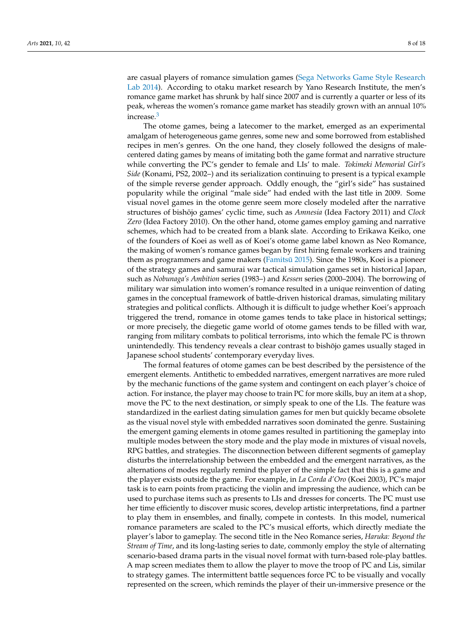are casual players of romance simulation games [\(Sega Networks Game Style Research](#page-17-12) [Lab](#page-17-12) [2014\)](#page-17-12). According to otaku market research by Yano Research Institute, the men's romance game market has shrunk by half since 2007 and is currently a quarter or less of its peak, whereas the women's romance game market has steadily grown with an annual 10% increase.[3](#page-16-7)

<span id="page-7-0"></span>The otome games, being a latecomer to the market, emerged as an experimental amalgam of heterogeneous game genres, some new and some borrowed from established recipes in men's genres. On the one hand, they closely followed the designs of malecentered dating games by means of imitating both the game format and narrative structure while converting the PC's gender to female and LIs' to male. *Tokimeki Memorial Girl's Side* (Konami, PS2, 2002–) and its serialization continuing to present is a typical example of the simple reverse gender approach. Oddly enough, the "girl's side" has sustained popularity while the original "male side" had ended with the last title in 2009. Some visual novel games in the otome genre seem more closely modeled after the narrative structures of bishōjo games' cyclic time, such as *Amnesia* (Idea Factory 2011) and *Clock Zero* (Idea Factory 2010). On the other hand, otome games employ gaming and narrative schemes, which had to be created from a blank slate. According to Erikawa Keiko, one of the founders of Koei as well as of Koei's otome game label known as Neo Romance, the making of women's romance games began by first hiring female workers and training them as programmers and game makers (Famitsū [2015\)](#page-16-8). Since the 1980s, Koei is a pioneer of the strategy games and samurai war tactical simulation games set in historical Japan, such as *Nobunaga's Ambition* series (1983–) and *Kessen* series (2000–2004). The borrowing of military war simulation into women's romance resulted in a unique reinvention of dating games in the conceptual framework of battle-driven historical dramas, simulating military strategies and political conflicts. Although it is difficult to judge whether Koei's approach triggered the trend, romance in otome games tends to take place in historical settings; or more precisely, the diegetic game world of otome games tends to be filled with war, ranging from military combats to political terrorisms, into which the female PC is thrown unintendedly. This tendency reveals a clear contrast to bishojo games usually staged in ¯ Japanese school students' contemporary everyday lives.

The formal features of otome games can be best described by the persistence of the emergent elements. Antithetic to embedded narratives, emergent narratives are more ruled by the mechanic functions of the game system and contingent on each player's choice of action. For instance, the player may choose to train PC for more skills, buy an item at a shop, move the PC to the next destination, or simply speak to one of the LIs. The feature was standardized in the earliest dating simulation games for men but quickly became obsolete as the visual novel style with embedded narratives soon dominated the genre. Sustaining the emergent gaming elements in otome games resulted in partitioning the gameplay into multiple modes between the story mode and the play mode in mixtures of visual novels, RPG battles, and strategies. The disconnection between different segments of gameplay disturbs the interrelationship between the embedded and the emergent narratives, as the alternations of modes regularly remind the player of the simple fact that this is a game and the player exists outside the game. For example, in *La Corda d'Oro* (Koei 2003), PC's major task is to earn points from practicing the violin and impressing the audience, which can be used to purchase items such as presents to LIs and dresses for concerts. The PC must use her time efficiently to discover music scores, develop artistic interpretations, find a partner to play them in ensembles, and finally, compete in contests. In this model, numerical romance parameters are scaled to the PC's musical efforts, which directly mediate the player's labor to gameplay. The second title in the Neo Romance series, *Haruka: Beyond the Stream of Time*, and its long-lasting series to date, commonly employ the style of alternating scenario-based drama parts in the visual novel format with turn-based role-play battles. A map screen mediates them to allow the player to move the troop of PC and Lis, similar to strategy games. The intermittent battle sequences force PC to be visually and vocally represented on the screen, which reminds the player of their un-immersive presence or the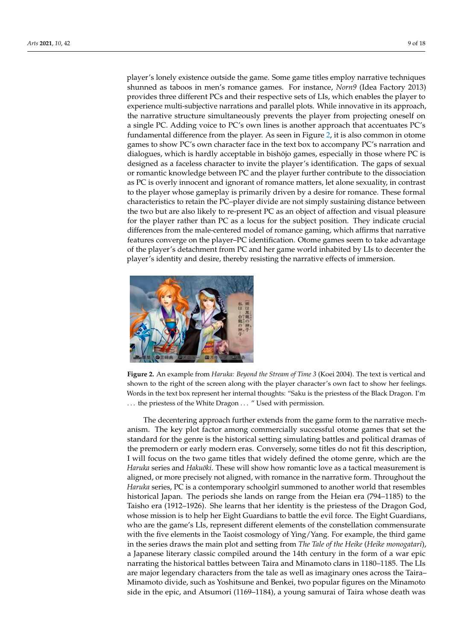player's lonely existence outside the game. Some game titles employ narrative techniques shunned as taboos in men's romance games. For instance, *Norn9* (Idea Factory 2013) provides three different PCs and their respective sets of LIs, which enables the player to experience multi-subjective narrations and parallel plots. While innovative in its approach, the narrative structure simultaneously prevents the player from projecting oneself on a single PC. Adding voice to PC's own lines is another approach that accentuates PC's fundamental difference from the player. As seen in Figure 2, it is also common in otome games to show PC's own character face in the text box to accompany PC's narration and dialogues, which is hardly acceptable in bishōjo games, especially in those where PC is designed as a faceless character to invite the player's identification. The gaps of sexual or romantic knowledge between PC and the player further contribute to the dissociation as PC is overly innocent and ignorant of romance matters, let alone sexuality, in contrast to the player whose gameplay is primarily driven by a desire for romance. These formal characteristics to retain the PC-player divide are not simply sustaining distance between the two but are also likely to re-present PC as an object of affection and visual pleasure for the player rather than PC as a locus for the subject position. They indicate crucial differences from the male-centered model of romance gaming, which affirms that narrative features converge on the player–PC identification. Otome games seem to take advantage of the player's detachment from PC and her game world inhabited by LIs to decenter the player's identity and desire, thereby resisting the narrative effects of immersion. narrative effects of immersion.

<span id="page-8-0"></span>

Figure 2. An example from Haruka: Beyond the Stream of Time 3 (Koei 2004). The text is vertical and shown to the right of the screen along with the player character's own fact to show her feelings. shown to the right of the screen along with the player character's own fact to show her feelings. Words in the text box represent her internal thoughts: "Saku is the priestess of the Black Dragon. I'm Words in the text box represent her internal thoughts: "Saku is the priestess of the Black Dragon. I'm ... the priestess of the White Dragon ... " Used with permission.

The decentering approach further extends from the game form to the narrative mech-The decentering approach further extends from the game form to the narrative mechanism. The key plot factor among commercially successful otome games that set the standard for the genre is the historical setting simulating battles and political dramas of the premodern or early modern eras. Conversely, some titles do not fit this description, I will focus on the two game titles that widely defined the otome genre, which are the Haruka series and *Hakuōki*. These will show how romantic love as a tactical measurement is aligned, or more precisely not aligned, with romance in the narrative form. Throughout aligned, or more precisely not aligned, with romance in the narrative form. Throughout the *Haruka* series, PC is a contemporary schoolgirl summoned to another world that resembles historical Japan. The periods she lands on range from the Heian era (794–1185) to the Taisho era (1912–1926). She learns that her identity is the priestess of the Dragon God, whose mission is to help her Eight Guardians to battle the evil force. The Eight Guardians, who are the game's LIs, represent different elements of the constellation commensurate with the five elements in the Taoist cosmology of Ying/Yang. For example, the third game in the series draws the main plot and setting from *The Tale of the Heike* (*Heike monogatari*), a Japanese literary classic compiled around the 14th century in the form of a war epic narrating the historical battles between Taira and Minamoto clans in 1180–1185. The LIs are major legendary characters from the tale as well as imaginary ones across the Taira– Minamoto divide, such as Yoshitsune and Benkei, two popular figures on the Minamoto side in the epic, and Atsumori (1169–1184), a young samurai of Taira whose death was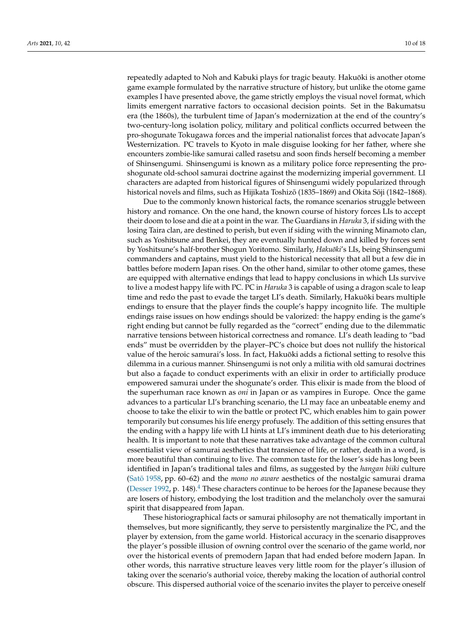repeatedly adapted to Noh and Kabuki plays for tragic beauty. Hakuōki is another otome game example formulated by the narrative structure of history, but unlike the otome game examples I have presented above, the game strictly employs the visual novel format, which limits emergent narrative factors to occasional decision points. Set in the Bakumatsu era (the 1860s), the turbulent time of Japan's modernization at the end of the country's two-century-long isolation policy, military and political conflicts occurred between the pro-shogunate Tokugawa forces and the imperial nationalist forces that advocate Japan's Westernization. PC travels to Kyoto in male disguise looking for her father, where she encounters zombie-like samurai called rasetsu and soon finds herself becoming a member of Shinsengumi. Shinsengumi is known as a military police force representing the proshogunate old-school samurai doctrine against the modernizing imperial government. LI characters are adapted from historical figures of Shinsengumi widely popularized through historical novels and films, such as Hijikata Toshizō (1835–1869) and Okita Sōji (1842–1868).

Due to the commonly known historical facts, the romance scenarios struggle between history and romance. On the one hand, the known course of history forces LIs to accept their doom to lose and die at a point in the war. The Guardians in *Haruka* 3, if siding with the losing Taira clan, are destined to perish, but even if siding with the winning Minamoto clan, such as Yoshitsune and Benkei, they are eventually hunted down and killed by forces sent by Yoshitsune's half-brother Shogun Yoritomo. Similarly, *Hakuōki's* LIs, being Shinsengumi commanders and captains, must yield to the historical necessity that all but a few die in battles before modern Japan rises. On the other hand, similar to other otome games, these are equipped with alternative endings that lead to happy conclusions in which LIs survive to live a modest happy life with PC. PC in *Haruka* 3 is capable of using a dragon scale to leap time and redo the past to evade the target LI's death. Similarly, Hakuōki bears multiple endings to ensure that the player finds the couple's happy incognito life. The multiple endings raise issues on how endings should be valorized: the happy ending is the game's right ending but cannot be fully regarded as the "correct" ending due to the dilemmatic narrative tensions between historical correctness and romance. LI's death leading to "bad ends" must be overridden by the player–PC's choice but does not nullify the historical value of the heroic samurai's loss. In fact, Hakuōki adds a fictional setting to resolve this dilemma in a curious manner. Shinsengumi is not only a militia with old samurai doctrines but also a façade to conduct experiments with an elixir in order to artificially produce empowered samurai under the shogunate's order. This elixir is made from the blood of the superhuman race known as *oni* in Japan or as vampires in Europe. Once the game advances to a particular LI's branching scenario, the LI may face an unbeatable enemy and choose to take the elixir to win the battle or protect PC, which enables him to gain power temporarily but consumes his life energy profusely. The addition of this setting ensures that the ending with a happy life with LI hints at LI's imminent death due to his deteriorating health. It is important to note that these narratives take advantage of the common cultural essentialist view of samurai aesthetics that transience of life, or rather, death in a word, is more beautiful than continuing to live. The common taste for the loser's side has long been identified in Japan's traditional tales and films, as suggested by the *hangan biiki* culture [\(Sato¯](#page-17-13) [1958,](#page-17-13) pp. 60–62) and the *mono no aware* aesthetics of the nostalgic samurai drama [\(Desser](#page-16-9) [1992,](#page-16-9) p. 1[4](#page-16-10)8).<sup>4</sup> These characters continue to be heroes for the Japanese because they are losers of history, embodying the lost tradition and the melancholy over the samurai spirit that disappeared from Japan.

<span id="page-9-0"></span>These historiographical facts or samurai philosophy are not thematically important in themselves, but more significantly, they serve to persistently marginalize the PC, and the player by extension, from the game world. Historical accuracy in the scenario disapproves the player's possible illusion of owning control over the scenario of the game world, nor over the historical events of premodern Japan that had ended before modern Japan. In other words, this narrative structure leaves very little room for the player's illusion of taking over the scenario's authorial voice, thereby making the location of authorial control obscure. This dispersed authorial voice of the scenario invites the player to perceive oneself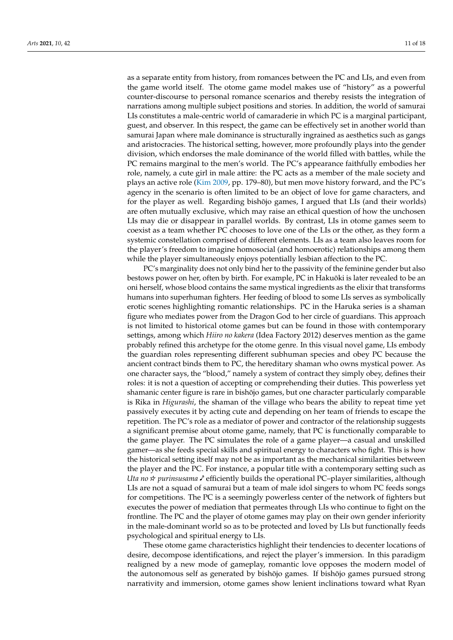as a separate entity from history, from romances between the PC and LIs, and even from the game world itself. The otome game model makes use of "history" as a powerful counter-discourse to personal romance scenarios and thereby resists the integration of narrations among multiple subject positions and stories. In addition, the world of samurai LIs constitutes a male-centric world of camaraderie in which PC is a marginal participant, guest, and observer. In this respect, the game can be effectively set in another world than samurai Japan where male dominance is structurally ingrained as aesthetics such as gangs and aristocracies. The historical setting, however, more profoundly plays into the gender division, which endorses the male dominance of the world filled with battles, while the PC remains marginal to the men's world. The PC's appearance faithfully embodies her role, namely, a cute girl in male attire: the PC acts as a member of the male society and plays an active role [\(Kim](#page-17-14) [2009,](#page-17-14) pp. 179–80), but men move history forward, and the PC's agency in the scenario is often limited to be an object of love for game characters, and for the player as well. Regarding bishojo games, I argued that LIs (and their worlds) are often mutually exclusive, which may raise an ethical question of how the unchosen LIs may die or disappear in parallel worlds. By contrast, LIs in otome games seem to coexist as a team whether PC chooses to love one of the LIs or the other, as they form a systemic constellation comprised of different elements. LIs as a team also leaves room for the player's freedom to imagine homosocial (and homoerotic) relationships among them while the player simultaneously enjoys potentially lesbian affection to the PC.

PC's marginality does not only bind her to the passivity of the feminine gender but also bestows power on her, often by birth. For example, PC in Hakuōki is later revealed to be an oni herself, whose blood contains the same mystical ingredients as the elixir that transforms humans into superhuman fighters. Her feeding of blood to some LIs serves as symbolically erotic scenes highlighting romantic relationships. PC in the Haruka series is a shaman figure who mediates power from the Dragon God to her circle of guardians. This approach is not limited to historical otome games but can be found in those with contemporary settings, among which *Hiiro no kakera* (Idea Factory 2012) deserves mention as the game probably refined this archetype for the otome genre. In this visual novel game, LIs embody the guardian roles representing different subhuman species and obey PC because the ancient contract binds them to PC, the hereditary shaman who owns mystical power. As one character says, the "blood," namely a system of contract they simply obey, defines their roles: it is not a question of accepting or comprehending their duties. This powerless yet shamanic center figure is rare in bishōjo games, but one character particularly comparable is Rika in *Higurashi*, the shaman of the village who bears the ability to repeat time yet passively executes it by acting cute and depending on her team of friends to escape the *Arty of 100*, *1000* as a mediator of power and contractor of the relationship suggests a significant premise about otome game, namely, that PC is functionally comparable to the game player. The PC simulates the role of a game player—a casual and unskilled gamer—as she feeds special skills and spiritual energy to characters who fight. This is how the historical setting itself may not be as important as the mechanical similarities between the player and the PC. For instance, a popular title with a contemporary setting such as Uta no  $\star$  purinsusama  $\checkmark$  efficiently builds the operational PC–player similarities, although LIs are not a squad of samurai but a team of male idol singers to whom PC feeds songs for competitions. The PC is a seemingly powerless center of the network of fighters but executes the power of mediation that permeates through LIs who continue to fight on the frontline. The PC and the player of otome games may play on their own gender inferiority in the male-dominant world so as to be protected and loved by LIs but functionally feeds psychological and spiritual energy to LIs.

> These otome game characteristics highlight their tendencies to decenter locations of desire, decompose identifications, and reject the player's immersion. In this paradigm realigned by a new mode of gameplay, romantic love opposes the modern model of the autonomous self as generated by bishōjo games. If bishōjo games pursued strong narrativity and immersion, otome games show lenient inclinations toward what Ryan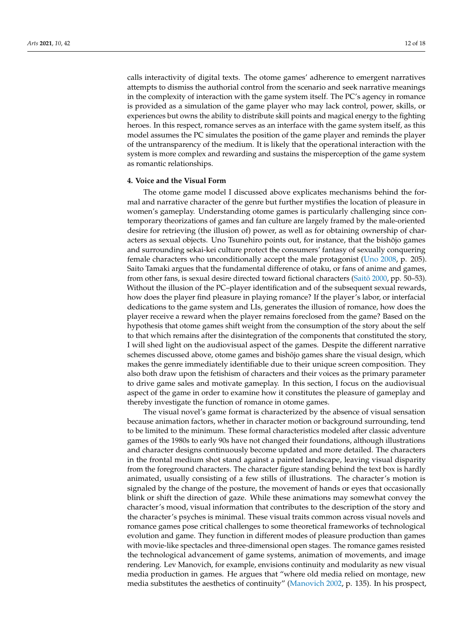calls interactivity of digital texts. The otome games' adherence to emergent narratives attempts to dismiss the authorial control from the scenario and seek narrative meanings in the complexity of interaction with the game system itself. The PC's agency in romance is provided as a simulation of the game player who may lack control, power, skills, or experiences but owns the ability to distribute skill points and magical energy to the fighting heroes. In this respect, romance serves as an interface with the game system itself, as this model assumes the PC simulates the position of the game player and reminds the player of the untransparency of the medium. It is likely that the operational interaction with the system is more complex and rewarding and sustains the misperception of the game system as romantic relationships.

#### **4. Voice and the Visual Form**

The otome game model I discussed above explicates mechanisms behind the formal and narrative character of the genre but further mystifies the location of pleasure in women's gameplay. Understanding otome games is particularly challenging since contemporary theorizations of games and fan culture are largely framed by the male-oriented desire for retrieving (the illusion of) power, as well as for obtaining ownership of characters as sexual objects. Uno Tsunehiro points out, for instance, that the bishojo games ¯ and surrounding sekai-kei culture protect the consumers' fantasy of sexually conquering female characters who unconditionally accept the male protagonist [\(Uno](#page-17-15) [2008,](#page-17-15) p. 205). Saito Tamaki argues that the fundamental difference of otaku, or fans of anime and games, from other fans, is sexual desire directed toward fictional characters (Saitō [2000,](#page-17-16) pp. 50–53). Without the illusion of the PC–player identification and of the subsequent sexual rewards, how does the player find pleasure in playing romance? If the player's labor, or interfacial dedications to the game system and LIs, generates the illusion of romance, how does the player receive a reward when the player remains foreclosed from the game? Based on the hypothesis that otome games shift weight from the consumption of the story about the self to that which remains after the disintegration of the components that constituted the story, I will shed light on the audiovisual aspect of the games. Despite the different narrative schemes discussed above, otome games and bishōjo games share the visual design, which makes the genre immediately identifiable due to their unique screen composition. They also both draw upon the fetishism of characters and their voices as the primary parameter to drive game sales and motivate gameplay. In this section, I focus on the audiovisual aspect of the game in order to examine how it constitutes the pleasure of gameplay and thereby investigate the function of romance in otome games.

The visual novel's game format is characterized by the absence of visual sensation because animation factors, whether in character motion or background surrounding, tend to be limited to the minimum. These formal characteristics modeled after classic adventure games of the 1980s to early 90s have not changed their foundations, although illustrations and character designs continuously become updated and more detailed. The characters in the frontal medium shot stand against a painted landscape, leaving visual disparity from the foreground characters. The character figure standing behind the text box is hardly animated, usually consisting of a few stills of illustrations. The character's motion is signaled by the change of the posture, the movement of hands or eyes that occasionally blink or shift the direction of gaze. While these animations may somewhat convey the character's mood, visual information that contributes to the description of the story and the character's psyches is minimal. These visual traits common across visual novels and romance games pose critical challenges to some theoretical frameworks of technological evolution and game. They function in different modes of pleasure production than games with movie-like spectacles and three-dimensional open stages. The romance games resisted the technological advancement of game systems, animation of movements, and image rendering. Lev Manovich, for example, envisions continuity and modularity as new visual media production in games. He argues that "where old media relied on montage, new media substitutes the aesthetics of continuity" [\(Manovich](#page-17-17) [2002,](#page-17-17) p. 135). In his prospect,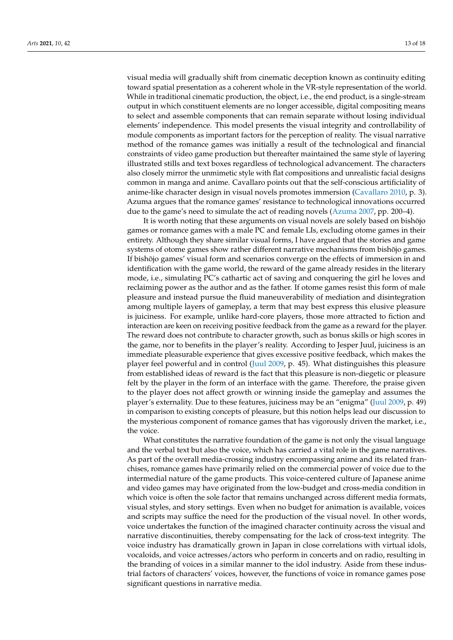visual media will gradually shift from cinematic deception known as continuity editing toward spatial presentation as a coherent whole in the VR-style representation of the world. While in traditional cinematic production, the object, i.e., the end product, is a single-stream output in which constituent elements are no longer accessible, digital compositing means to select and assemble components that can remain separate without losing individual elements' independence. This model presents the visual integrity and controllability of module components as important factors for the perception of reality. The visual narrative method of the romance games was initially a result of the technological and financial constraints of video game production but thereafter maintained the same style of layering illustrated stills and text boxes regardless of technological advancement. The characters also closely mirror the unmimetic style with flat compositions and unrealistic facial designs common in manga and anime. Cavallaro points out that the self-conscious artificiality of anime-like character design in visual novels promotes immersion [\(Cavallaro](#page-16-1) [2010,](#page-16-1) p. 3). Azuma argues that the romance games' resistance to technological innovations occurred due to the game's need to simulate the act of reading novels [\(Azuma](#page-16-2) [2007,](#page-16-2) pp. 200–4).

It is worth noting that these arguments on visual novels are solely based on bishojo games or romance games with a male PC and female LIs, excluding otome games in their entirety. Although they share similar visual forms, I have argued that the stories and game systems of otome games show rather different narrative mechanisms from bishojo games. If bishojo games' visual form and scenarios converge on the effects of immersion in and identification with the game world, the reward of the game already resides in the literary mode, i.e., simulating PC's cathartic act of saving and conquering the girl he loves and reclaiming power as the author and as the father. If otome games resist this form of male pleasure and instead pursue the fluid maneuverability of mediation and disintegration among multiple layers of gameplay, a term that may best express this elusive pleasure is juiciness. For example, unlike hard-core players, those more attracted to fiction and interaction are keen on receiving positive feedback from the game as a reward for the player. The reward does not contribute to character growth, such as bonus skills or high scores in the game, nor to benefits in the player's reality. According to Jesper Juul, juiciness is an immediate pleasurable experience that gives excessive positive feedback, which makes the player feel powerful and in control [\(Juul](#page-17-18) [2009,](#page-17-18) p. 45). What distinguishes this pleasure from established ideas of reward is the fact that this pleasure is non-diegetic or pleasure felt by the player in the form of an interface with the game. Therefore, the praise given to the player does not affect growth or winning inside the gameplay and assumes the player's externality. Due to these features, juiciness may be an "enigma" [\(Juul](#page-17-18) [2009,](#page-17-18) p. 49) in comparison to existing concepts of pleasure, but this notion helps lead our discussion to the mysterious component of romance games that has vigorously driven the market, i.e., the voice.

What constitutes the narrative foundation of the game is not only the visual language and the verbal text but also the voice, which has carried a vital role in the game narratives. As part of the overall media-crossing industry encompassing anime and its related franchises, romance games have primarily relied on the commercial power of voice due to the intermedial nature of the game products. This voice-centered culture of Japanese anime and video games may have originated from the low-budget and cross-media condition in which voice is often the sole factor that remains unchanged across different media formats, visual styles, and story settings. Even when no budget for animation is available, voices and scripts may suffice the need for the production of the visual novel. In other words, voice undertakes the function of the imagined character continuity across the visual and narrative discontinuities, thereby compensating for the lack of cross-text integrity. The voice industry has dramatically grown in Japan in close correlations with virtual idols, vocaloids, and voice actresses/actors who perform in concerts and on radio, resulting in the branding of voices in a similar manner to the idol industry. Aside from these industrial factors of characters' voices, however, the functions of voice in romance games pose significant questions in narrative media.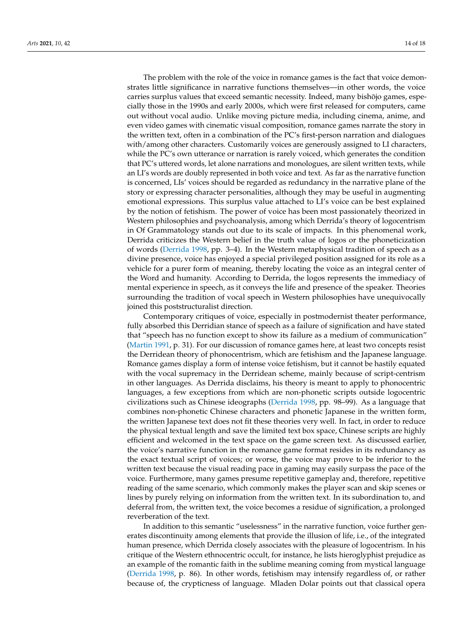The problem with the role of the voice in romance games is the fact that voice demonstrates little significance in narrative functions themselves—in other words, the voice carries surplus values that exceed semantic necessity. Indeed, many bishojo games, especially those in the 1990s and early 2000s, which were first released for computers, came out without vocal audio. Unlike moving picture media, including cinema, anime, and even video games with cinematic visual composition, romance games narrate the story in the written text, often in a combination of the PC's first-person narration and dialogues with/among other characters. Customarily voices are generously assigned to LI characters, while the PC's own utterance or narration is rarely voiced, which generates the condition that PC's uttered words, let alone narrations and monologues, are silent written texts, while an LI's words are doubly represented in both voice and text. As far as the narrative function is concerned, LIs' voices should be regarded as redundancy in the narrative plane of the story or expressing character personalities, although they may be useful in augmenting emotional expressions. This surplus value attached to LI's voice can be best explained by the notion of fetishism. The power of voice has been most passionately theorized in Western philosophies and psychoanalysis, among which Derrida's theory of logocentrism in Of Grammatology stands out due to its scale of impacts. In this phenomenal work, Derrida criticizes the Western belief in the truth value of logos or the phoneticization of words [\(Derrida](#page-16-11) [1998,](#page-16-11) pp. 3–4). In the Western metaphysical tradition of speech as a divine presence, voice has enjoyed a special privileged position assigned for its role as a vehicle for a purer form of meaning, thereby locating the voice as an integral center of the Word and humanity. According to Derrida, the logos represents the immediacy of mental experience in speech, as it conveys the life and presence of the speaker. Theories surrounding the tradition of vocal speech in Western philosophies have unequivocally joined this poststructuralist direction.

Contemporary critiques of voice, especially in postmodernist theater performance, fully absorbed this Derridian stance of speech as a failure of signification and have stated that "speech has no function except to show its failure as a medium of communication" [\(Martin](#page-17-19) [1991,](#page-17-19) p. 31). For our discussion of romance games here, at least two concepts resist the Derridean theory of phonocentrism, which are fetishism and the Japanese language. Romance games display a form of intense voice fetishism, but it cannot be hastily equated with the vocal supremacy in the Derridean scheme, mainly because of script-centrism in other languages. As Derrida disclaims, his theory is meant to apply to phonocentric languages, a few exceptions from which are non-phonetic scripts outside logocentric civilizations such as Chinese ideographs [\(Derrida](#page-16-11) [1998,](#page-16-11) pp. 98–99). As a language that combines non-phonetic Chinese characters and phonetic Japanese in the written form, the written Japanese text does not fit these theories very well. In fact, in order to reduce the physical textual length and save the limited text box space, Chinese scripts are highly efficient and welcomed in the text space on the game screen text. As discussed earlier, the voice's narrative function in the romance game format resides in its redundancy as the exact textual script of voices; or worse, the voice may prove to be inferior to the written text because the visual reading pace in gaming may easily surpass the pace of the voice. Furthermore, many games presume repetitive gameplay and, therefore, repetitive reading of the same scenario, which commonly makes the player scan and skip scenes or lines by purely relying on information from the written text. In its subordination to, and deferral from, the written text, the voice becomes a residue of signification, a prolonged reverberation of the text.

In addition to this semantic "uselessness" in the narrative function, voice further generates discontinuity among elements that provide the illusion of life, i.e., of the integrated human presence, which Derrida closely associates with the pleasure of logocentrism. In his critique of the Western ethnocentric occult, for instance, he lists hieroglyphist prejudice as an example of the romantic faith in the sublime meaning coming from mystical language [\(Derrida](#page-16-11) [1998,](#page-16-11) p. 86). In other words, fetishism may intensify regardless of, or rather because of, the crypticness of language. Mladen Dolar points out that classical opera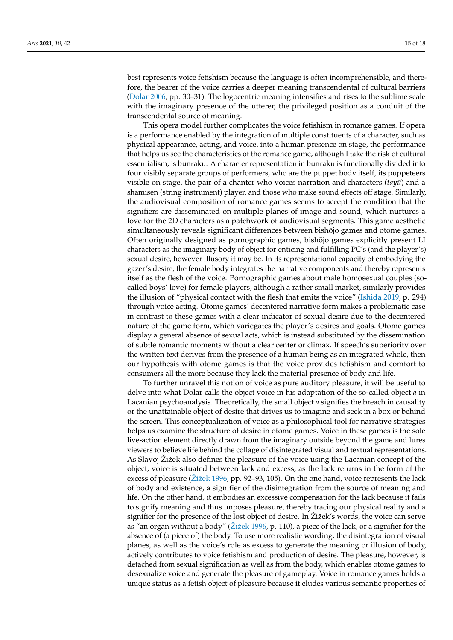best represents voice fetishism because the language is often incomprehensible, and therefore, the bearer of the voice carries a deeper meaning transcendental of cultural barriers [\(Dolar](#page-16-12) [2006,](#page-16-12) pp. 30–31). The logocentric meaning intensifies and rises to the sublime scale with the imaginary presence of the utterer, the privileged position as a conduit of the transcendental source of meaning.

This opera model further complicates the voice fetishism in romance games. If opera is a performance enabled by the integration of multiple constituents of a character, such as physical appearance, acting, and voice, into a human presence on stage, the performance that helps us see the characteristics of the romance game, although I take the risk of cultural essentialism, is bunraku. A character representation in bunraku is functionally divided into four visibly separate groups of performers, who are the puppet body itself, its puppeteers visible on stage, the pair of a chanter who voices narration and characters (*tayū*) and a shamisen (string instrument) player, and those who make sound effects off stage. Similarly, the audiovisual composition of romance games seems to accept the condition that the signifiers are disseminated on multiple planes of image and sound, which nurtures a love for the 2D characters as a patchwork of audiovisual segments. This game aesthetic simultaneously reveals significant differences between bishōjo games and otome games. Often originally designed as pornographic games, bishojo games explicitly present LI ¯ characters as the imaginary body of object for enticing and fulfilling PC's (and the player's) sexual desire, however illusory it may be. In its representational capacity of embodying the gazer's desire, the female body integrates the narrative components and thereby represents itself as the flesh of the voice. Pornographic games about male homosexual couples (socalled boys' love) for female players, although a rather small market, similarly provides the illusion of "physical contact with the flesh that emits the voice" [\(Ishida](#page-17-20) [2019,](#page-17-20) p. 294) through voice acting. Otome games' decentered narrative form makes a problematic case in contrast to these games with a clear indicator of sexual desire due to the decentered nature of the game form, which variegates the player's desires and goals. Otome games display a general absence of sexual acts, which is instead substituted by the dissemination of subtle romantic moments without a clear center or climax. If speech's superiority over the written text derives from the presence of a human being as an integrated whole, then our hypothesis with otome games is that the voice provides fetishism and comfort to consumers all the more because they lack the material presence of body and life.

To further unravel this notion of voice as pure auditory pleasure, it will be useful to delve into what Dolar calls the object voice in his adaptation of the so-called object *a* in Lacanian psychoanalysis. Theoretically, the small object *a* signifies the breach in causality or the unattainable object of desire that drives us to imagine and seek in a box or behind the screen. This conceptualization of voice as a philosophical tool for narrative strategies helps us examine the structure of desire in otome games. Voice in these games is the sole live-action element directly drawn from the imaginary outside beyond the game and lures viewers to believe life behind the collage of disintegrated visual and textual representations. As Slavoj Žižek also defines the pleasure of the voice using the Lacanian concept of the object, voice is situated between lack and excess, as the lack returns in the form of the excess of pleasure [\(Žižek](#page-17-21) [1996,](#page-17-21) pp. 92–93, 105). On the one hand, voice represents the lack of body and existence, a signifier of the disintegration from the source of meaning and life. On the other hand, it embodies an excessive compensation for the lack because it fails to signify meaning and thus imposes pleasure, thereby tracing our physical reality and a signifier for the presence of the lost object of desire. In Žižek's words, the voice can serve as "an organ without a body" [\(Žižek](#page-17-21) [1996,](#page-17-21) p. 110), a piece of the lack, or a signifier for the absence of (a piece of) the body. To use more realistic wording, the disintegration of visual planes, as well as the voice's role as excess to generate the meaning or illusion of body, actively contributes to voice fetishism and production of desire. The pleasure, however, is detached from sexual signification as well as from the body, which enables otome games to desexualize voice and generate the pleasure of gameplay. Voice in romance games holds a unique status as a fetish object of pleasure because it eludes various semantic properties of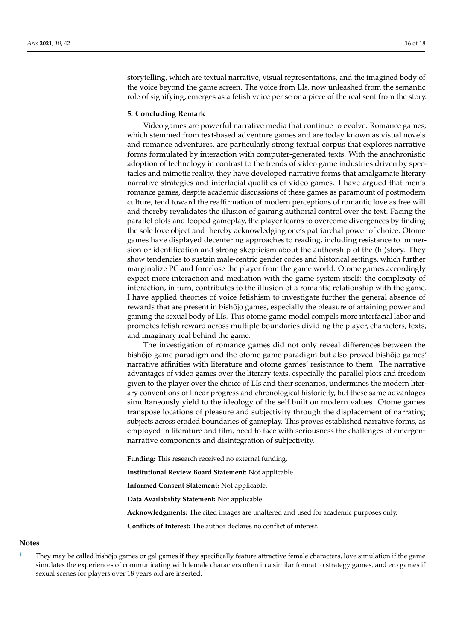storytelling, which are textual narrative, visual representations, and the imagined body of the voice beyond the game screen. The voice from LIs, now unleashed from the semantic role of signifying, emerges as a fetish voice per se or a piece of the real sent from the story.

#### **5. Concluding Remark**

Video games are powerful narrative media that continue to evolve. Romance games, which stemmed from text-based adventure games and are today known as visual novels and romance adventures, are particularly strong textual corpus that explores narrative forms formulated by interaction with computer-generated texts. With the anachronistic adoption of technology in contrast to the trends of video game industries driven by spectacles and mimetic reality, they have developed narrative forms that amalgamate literary narrative strategies and interfacial qualities of video games. I have argued that men's romance games, despite academic discussions of these games as paramount of postmodern culture, tend toward the reaffirmation of modern perceptions of romantic love as free will and thereby revalidates the illusion of gaining authorial control over the text. Facing the parallel plots and looped gameplay, the player learns to overcome divergences by finding the sole love object and thereby acknowledging one's patriarchal power of choice. Otome games have displayed decentering approaches to reading, including resistance to immersion or identification and strong skepticism about the authorship of the (hi)story. They show tendencies to sustain male-centric gender codes and historical settings, which further marginalize PC and foreclose the player from the game world. Otome games accordingly expect more interaction and mediation with the game system itself: the complexity of interaction, in turn, contributes to the illusion of a romantic relationship with the game. I have applied theories of voice fetishism to investigate further the general absence of rewards that are present in bishojo games, especially the pleasure of attaining power and gaining the sexual body of LIs. This otome game model compels more interfacial labor and promotes fetish reward across multiple boundaries dividing the player, characters, texts, and imaginary real behind the game.

The investigation of romance games did not only reveal differences between the bishōjo game paradigm and the otome game paradigm but also proved bishōjo games' narrative affinities with literature and otome games' resistance to them. The narrative advantages of video games over the literary texts, especially the parallel plots and freedom given to the player over the choice of LIs and their scenarios, undermines the modern literary conventions of linear progress and chronological historicity, but these same advantages simultaneously yield to the ideology of the self built on modern values. Otome games transpose locations of pleasure and subjectivity through the displacement of narrating subjects across eroded boundaries of gameplay. This proves established narrative forms, as employed in literature and film, need to face with seriousness the challenges of emergent narrative components and disintegration of subjectivity.

**Funding:** This research received no external funding.

**Institutional Review Board Statement:** Not applicable.

**Informed Consent Statement:** Not applicable.

**Data Availability Statement:** Not applicable.

**Acknowledgments:** The cited images are unaltered and used for academic purposes only.

**Conflicts of Interest:** The author declares no conflict of interest.

#### **Notes**

<span id="page-15-0"></span>They may be called bishojo games or gal games if they specifically feature attractive female characters, love simulation if the game simulates the experiences of communicating with female characters often in a similar format to strategy games, and ero games if sexual scenes for players over 18 years old are inserted.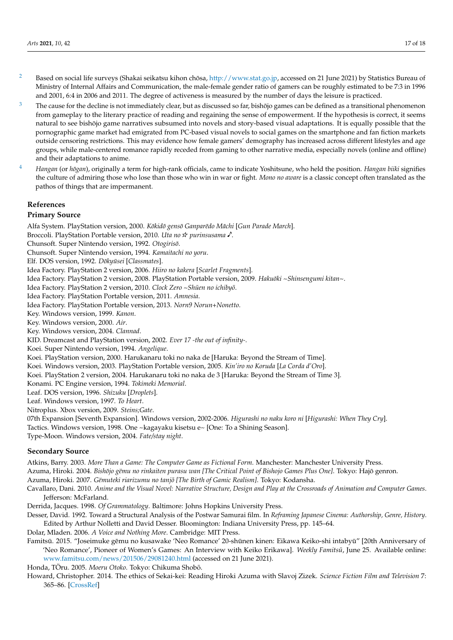- <span id="page-16-6"></span><sup>[2](#page-6-0)</sup> Based on social life surveys (Shakai seikatsu kihon chōsa, [http://www.stat.go.jp,](http://www.stat.go.jp) accessed on 21 June 2021) by Statistics Bureau of Ministry of Internal Affairs and Communication, the male-female gender ratio of gamers can be roughly estimated to be 7:3 in 1996 and 2001, 6:4 in 2006 and 2011. The degree of activeness is measured by the number of days the leisure is practiced.
- <span id="page-16-7"></span> $3$  The cause for the decline is not immediately clear, but as discussed so far, bishōjo games can be defined as a transitional phenomenon from gameplay to the literary practice of reading and regaining the sense of empowerment. If the hypothesis is correct, it seems natural to see bishojo game narratives subsumed into novels and story-based visual adaptations. It is equally possible that the pornographic game market had emigrated from PC-based visual novels to social games on the smartphone and fan fiction markets outside censoring restrictions. This may evidence how female gamers' demography has increased across different lifestyles and age groups, while male-centered romance rapidly receded from gaming to other narrative media, especially novels (online and offline) and their adaptations to anime.
- <sup>[4](#page-9-0)</sup> *Hangan* (or *hōgan*), originally a term for high-rank officials, came to indicate Yoshitsune, who held the position. *Hangan biiki* signifies the culture of admiring those who lose than those who win in war or fight. Mono no aware is a classic concept often translated as the pathos of things that are impermanent.

#### <span id="page-16-10"></span>**References** portable games with higher resolution in a second 2005, namely Player resolution in a second 2005, namely Player portable games with higher resolution in a set  $\alpha$  around 2005, namely Player resolution in a set of  $\alpha$

#### **Primary Source** and Nintendo DSLite. Later, Play Station Vita became the main medium of main medium of main medium medium of main medium of main medium of main medium of main medium of main medium of main medium of main m

Alfa System. PlayStation version, 2000. Kōkidō gensō Ganparēdo Māchi [Gun Parade March].

Broccoli. PlayStation Portable version, 2010. Uta no  $\star$  purinsusama  $\checkmark$ .

Chunsoft. Super Nintendo version, 1992. Otogirisō.

Chunsoft. Super Nintendo version, 1994. Kamaitachi no yoru.

the fast increase of middle-aged female gamers, evidencing the shift of the gaming popu-Elf. DOS version, 1992. *Doky ¯ usei ¯* [*Classmates*].

the fast increase of middle-aged female gamers, evidencing the shift of the gaming popu-Idea Factory. PlayStation 2 version, 2006. *Hiiro no kakera* [*Scarlet Fragments*].

idea Factory. FlayStation 2 version, 2006. *Hillo ho Kikeri* Tou*riet Friighents*].<br>Idea Factory. PlayStation 2 version, 2008. PlayStation Portable version, 2009. *Hakuōki ~Shinsengumi kitan~*.

Idea Factory. PlayStation 2 version, 2010. Clock Zero ~Shūen no ichibyō.

Idea Factory. PlayStation Portable version, 2011. Amnesia.

Idea Factory. PlayStation Portable version, 2013. Norn9 Norun+Nonetto.

Key. Windows version, 1999. *Kanon*.

Key. Windows version, 2000. *Air*.

Key. Windows version, 2004. *Clannad*.

KID. Dreamcast and PlayStation version, 2002. Ever 17 - the out of infinity-.

Koei. Super Nintendo version, 1994. *Angelique*.<br>Koei. Super Nintendo version, 1994. *Angelique*.

Koei. PlayStation version, 2000. Harukanaru toki no naka de [Haruka: Beyond the Stream of Time].

Koei. *Tiay Station Version, 2000.* Transfariation of the natural degree of the Steam of Time<sub>1</sub>.<br>Koei. Windows version, 2003. PlayStation Portable version, 2005. *Kin'iro no Koruda* [*La Corda d'Oro*].

Koei. PlayStation 2 version, 2004. Harukanaru toki no naka de 3 [Haruka: Beyond the Stream of Time 3].

Konami. PC Engine version, 1994. Tokimeki Memorial.

Leaf. DOS version, 1996. Shizuku [Droplets].

Leaf. Windows version, 1997. To Heart.

Nitroplus. Xbox version, 2009. Steins; Gate.

07th Expansion [Seventh Expansion]. Windows version, 2002-2006. *Higurashi no naku koro ni [Higurashi: When They Cry*].

while the original "male side" had ended with the last title in 2009. Some visual novel while the original "male side" had ended with the last title in 2009. Some visual novel Tactics. Windows version, 1998. One ~kagayaku kisetsu e~ [One: To a Shining Season].

Type-Moon. Windows version, 2004. Fate/stay night.

## **Secondary Source**

<span id="page-16-0"></span>Atkins, Barry. 2003. More Than a Game: The Computer Game as Fictional Form. Manchester: Manchester University Press.

<span id="page-16-4"></span>Azuma, Hiroki. 2004. Bishōjo gëmu no rinkaiten purasu wan [The Critical Point of Bishojo Games Plus One]. Tokyo: Hajō genron.

<span id="page-16-2"></span>Azuma, Hiroki. 2007. Gëmuteki riarizumu no tanjō [The Birth of Gamic Realism]. Tokyo: Kodansha.

<span id="page-16-1"></span>Cavallaro, Dani. 2010. Anime and the Visual Novel: Narrative Structure, Design and Play at the Crossroads of Animation and Computer Games. Jefferson: McFarland.

<span id="page-16-11"></span>Derrida, Jacques. 1998. Of Grammatology. Baltimore: Johns Hopkins University Press.

<span id="page-16-9"></span>Desser, David. 1992. Toward a Structural Analysis of the Postwar Samurai film. In Reframing Japanese Cinema: Authorship, Genre, History. Edited by Arthur Nolletti and David Desser. Bloomington: Indiana University Press, pp. 145–64.<br>Dalar Madax 2006, A Veiss and Nathina Mays Cambridges MT Braze.

Dolar, Mladen. 2006. *A Voice and Nothing More*. Cambridge: MIT Press.

<span id="page-16-12"></span><span id="page-16-8"></span>Famitsū. 2015. "Joseimuke gēmu no kusawake 'Neo Romance' 20-shūnen kinen: Eikawa Keiko-shi intabyū" [20th Anniversary of 'Neo Romance', Pioneer of Women's Games: An Interview with Keiko Erikawa]. Weekly Famitsū, June 25. Available online: <www.famitsu.com/news/201506/29081240.html> (accessed on 21 June 2021).

<span id="page-16-3"></span>Honda, TÖru. 2005. Moeru Otoko. Tokyo: Chikuma Shobō.

<span id="page-16-5"></span>Howard, Christopher. 2014. The ethics of Sekai-kei: Reading Hiroki Azuma with Slavoj Zizek. Science Fiction Film and Television 7: 365–86. [\[CrossRef\]](http://doi.org/10.3828/sfftv.2014.21)